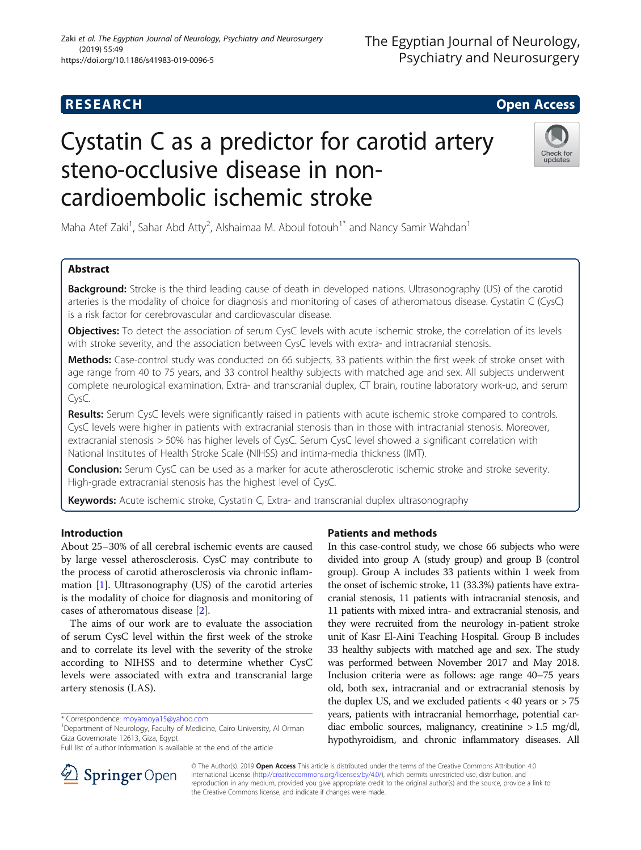# **RESEARCH CHILD CONTROL** CONTROL CONTROL CONTROL CONTROL CONTROL CONTROL CONTROL CONTROL CONTROL CONTROL CONTROL

# Cystatin C as a predictor for carotid artery steno-occlusive disease in noncardioembolic ischemic stroke



Maha Atef Zaki<sup>1</sup>, Sahar Abd Atty<sup>2</sup>, Alshaimaa M. Aboul fotouh<sup>1\*</sup> and Nancy Samir Wahdan<sup>1</sup>

# Abstract

**Background:** Stroke is the third leading cause of death in developed nations. Ultrasonography (US) of the carotid arteries is the modality of choice for diagnosis and monitoring of cases of atheromatous disease. Cystatin C (CysC) is a risk factor for cerebrovascular and cardiovascular disease.

**Objectives:** To detect the association of serum CysC levels with acute ischemic stroke, the correlation of its levels with stroke severity, and the association between CysC levels with extra- and intracranial stenosis.

Methods: Case-control study was conducted on 66 subjects, 33 patients within the first week of stroke onset with age range from 40 to 75 years, and 33 control healthy subjects with matched age and sex. All subjects underwent complete neurological examination, Extra- and transcranial duplex, CT brain, routine laboratory work-up, and serum CysC.

Results: Serum CysC levels were significantly raised in patients with acute ischemic stroke compared to controls. CysC levels were higher in patients with extracranial stenosis than in those with intracranial stenosis. Moreover, extracranial stenosis > 50% has higher levels of CysC. Serum CysC level showed a significant correlation with National Institutes of Health Stroke Scale (NIHSS) and intima-media thickness (IMT).

Conclusion: Serum CysC can be used as a marker for acute atherosclerotic ischemic stroke and stroke severity. High-grade extracranial stenosis has the highest level of CysC.

Keywords: Acute ischemic stroke, Cystatin C, Extra- and transcranial duplex ultrasonography

# Introduction

About 25–30% of all cerebral ischemic events are caused by large vessel atherosclerosis. CysC may contribute to the process of carotid atherosclerosis via chronic inflammation [\[1](#page-5-0)]. Ultrasonography (US) of the carotid arteries is the modality of choice for diagnosis and monitoring of cases of atheromatous disease [\[2](#page-5-0)].

The aims of our work are to evaluate the association of serum CysC level within the first week of the stroke and to correlate its level with the severity of the stroke according to NIHSS and to determine whether CysC levels were associated with extra and transcranial large artery stenosis (LAS).

Department of Neurology, Faculty of Medicine, Cairo University, Al Orman Giza Governorate 12613, Giza, Egypt

## Patients and methods

In this case-control study, we chose 66 subjects who were divided into group A (study group) and group B (control group). Group A includes 33 patients within 1 week from the onset of ischemic stroke, 11 (33.3%) patients have extracranial stenosis, 11 patients with intracranial stenosis, and 11 patients with mixed intra- and extracranial stenosis, and they were recruited from the neurology in-patient stroke unit of Kasr El-Aini Teaching Hospital. Group B includes 33 healthy subjects with matched age and sex. The study was performed between November 2017 and May 2018. Inclusion criteria were as follows: age range 40–75 years old, both sex, intracranial and or extracranial stenosis by the duplex US, and we excluded patients  $<$  40 years or  $>$  75 years, patients with intracranial hemorrhage, potential cardiac embolic sources, malignancy, creatinine > 1.5 mg/dl, hypothyroidism, and chronic inflammatory diseases. All



© The Author(s). 2019 Open Access This article is distributed under the terms of the Creative Commons Attribution 4.0 International License ([http://creativecommons.org/licenses/by/4.0/\)](http://creativecommons.org/licenses/by/4.0/), which permits unrestricted use, distribution, and reproduction in any medium, provided you give appropriate credit to the original author(s) and the source, provide a link to the Creative Commons license, and indicate if changes were made.

<sup>\*</sup> Correspondence: [moyamoya15@yahoo.com](mailto:moyamoya15@yahoo.com) <sup>1</sup>

Full list of author information is available at the end of the article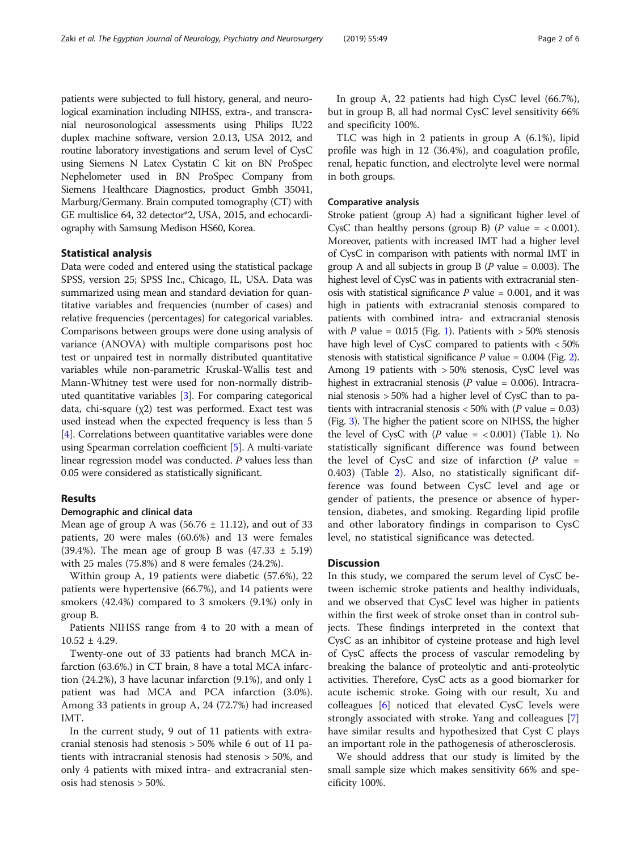patients were subjected to full history, general, and neurological examination including NIHSS, extra-, and transcranial neurosonological assessments using Philips IU22 duplex machine software, version 2.0.13, USA 2012, and routine laboratory investigations and serum level of CysC using Siemens N Latex Cystatin C kit on BN ProSpec Nephelometer used in BN ProSpec Company from Siemens Healthcare Diagnostics, product Gmbh 35041, Marburg/Germany. Brain computed tomography (CT) with GE multislice 64, 32 detector\*2, USA, 2015, and echocardiography with Samsung Medison HS60, Korea.

#### Statistical analysis

Data were coded and entered using the statistical package SPSS, version 25; SPSS Inc., Chicago, IL, USA. Data was summarized using mean and standard deviation for quantitative variables and frequencies (number of cases) and relative frequencies (percentages) for categorical variables. Comparisons between groups were done using analysis of variance (ANOVA) with multiple comparisons post hoc test or unpaired test in normally distributed quantitative variables while non-parametric Kruskal-Wallis test and Mann-Whitney test were used for non-normally distributed quantitative variables [\[3](#page-5-0)]. For comparing categorical data, chi-square (χ2) test was performed. Exact test was used instead when the expected frequency is less than 5 [[4\]](#page-5-0). Correlations between quantitative variables were done using Spearman correlation coefficient [[5\]](#page-5-0). A multi-variate linear regression model was conducted. P values less than 0.05 were considered as statistically significant.

#### Results

#### Demographic and clinical data

Mean age of group A was  $(56.76 \pm 11.12)$ , and out of 33 patients, 20 were males (60.6%) and 13 were females (39.4%). The mean age of group B was  $(47.33 \pm 5.19)$ with 25 males (75.8%) and 8 were females (24.2%).

Within group A, 19 patients were diabetic (57.6%), 22 patients were hypertensive (66.7%), and 14 patients were smokers (42.4%) compared to 3 smokers (9.1%) only in group B.

Patients NIHSS range from 4 to 20 with a mean of  $10.52 \pm 4.29$ .

Twenty-one out of 33 patients had branch MCA infarction (63.6%.) in CT brain, 8 have a total MCA infarction (24.2%), 3 have lacunar infarction (9.1%), and only 1 patient was had MCA and PCA infarction (3.0%). Among 33 patients in group A, 24 (72.7%) had increased IMT.

In the current study, 9 out of 11 patients with extracranial stenosis had stenosis > 50% while 6 out of 11 patients with intracranial stenosis had stenosis > 50%, and only 4 patients with mixed intra- and extracranial stenosis had stenosis > 50%.

In group A, 22 patients had high CysC level (66.7%), but in group B, all had normal CysC level sensitivity 66% and specificity 100%.

TLC was high in 2 patients in group A (6.1%), lipid profile was high in 12 (36.4%), and coagulation profile, renal, hepatic function, and electrolyte level were normal in both groups.

#### Comparative analysis

Stroke patient (group A) had a significant higher level of CysC than healthy persons (group B) ( $P$  value = < 0.001). Moreover, patients with increased IMT had a higher level of CysC in comparison with patients with normal IMT in group A and all subjects in group B ( $P$  value = 0.003). The highest level of CysC was in patients with extracranial stenosis with statistical significance  $P$  value = 0.001, and it was high in patients with extracranial stenosis compared to patients with combined intra- and extracranial stenosis with P value =  $0.015$  $0.015$  $0.015$  (Fig. 1). Patients with > 50% stenosis have high level of CysC compared to patients with < 50% stenosis with statistical significance  $P$  value = 0.004 (Fig. [2](#page-2-0)). Among 19 patients with > 50% stenosis, CysC level was highest in extracranial stenosis ( $P$  value = 0.006). Intracranial stenosis > 50% had a higher level of CysC than to patients with intracranial stenosis  $< 50\%$  with (P value = 0.03) (Fig. [3](#page-3-0)). The higher the patient score on NIHSS, the higher the level of CysC with  $(P \text{ value} = < 0.001)$  $(P \text{ value} = < 0.001)$  (Table 1). No statistically significant difference was found between the level of CysC and size of infarction  $(P \text{ value } =$ 0.403) (Table [2\)](#page-4-0). Also, no statistically significant difference was found between CysC level and age or gender of patients, the presence or absence of hypertension, diabetes, and smoking. Regarding lipid profile and other laboratory findings in comparison to CysC level, no statistical significance was detected.

#### **Discussion**

In this study, we compared the serum level of CysC between ischemic stroke patients and healthy individuals, and we observed that CysC level was higher in patients within the first week of stroke onset than in control subjects. These findings interpreted in the context that CysC as an inhibitor of cysteine protease and high level of CysC affects the process of vascular remodeling by breaking the balance of proteolytic and anti-proteolytic activities. Therefore, CysC acts as a good biomarker for acute ischemic stroke. Going with our result, Xu and colleagues [[6\]](#page-5-0) noticed that elevated CysC levels were strongly associated with stroke. Yang and colleagues [\[7](#page-5-0)] have similar results and hypothesized that Cyst C plays an important role in the pathogenesis of atherosclerosis.

We should address that our study is limited by the small sample size which makes sensitivity 66% and specificity 100%.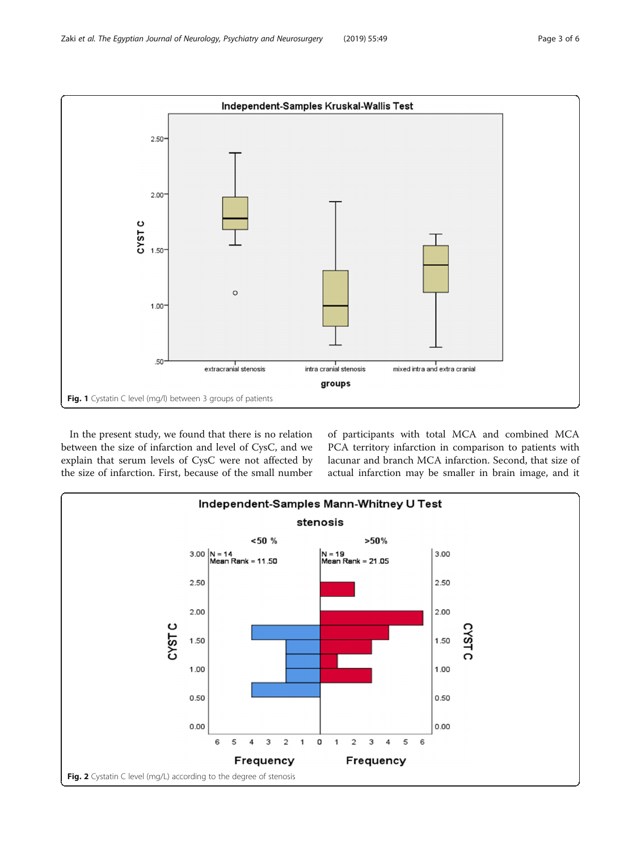<span id="page-2-0"></span>

In the present study, we found that there is no relation between the size of infarction and level of CysC, and we explain that serum levels of CysC were not affected by the size of infarction. First, because of the small number of participants with total MCA and combined MCA PCA territory infarction in comparison to patients with lacunar and branch MCA infarction. Second, that size of actual infarction may be smaller in brain image, and it

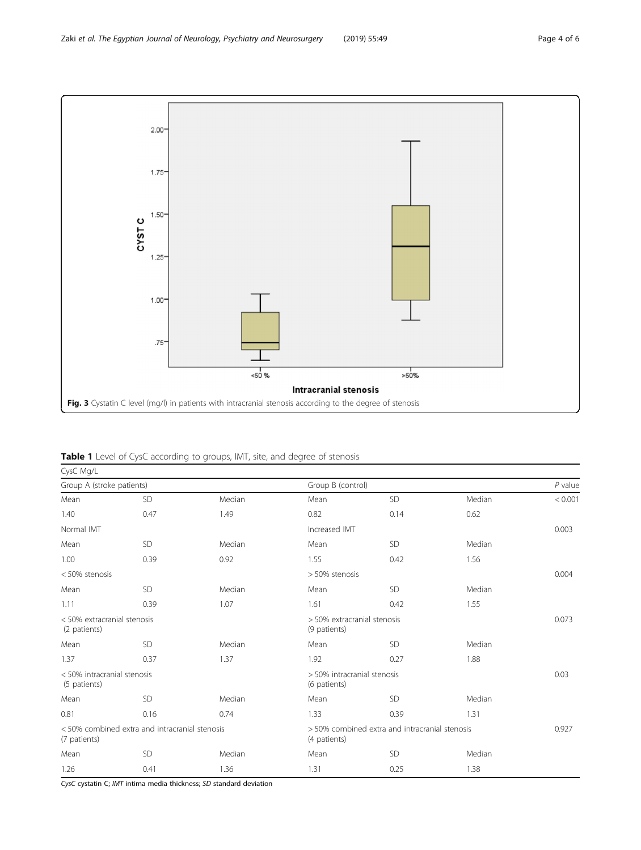<span id="page-3-0"></span>

Table 1 Level of CysC according to groups, IMT, site, and degree of stenosis

| CysC Mg/L                                                      |           |        |                                                                |           |        |           |  |  |  |
|----------------------------------------------------------------|-----------|--------|----------------------------------------------------------------|-----------|--------|-----------|--|--|--|
| Group A (stroke patients)                                      |           |        | Group B (control)                                              |           |        | $P$ value |  |  |  |
| Mean                                                           | SD        | Median | Mean                                                           | SD        | Median | < 0.001   |  |  |  |
| 1.40                                                           | 0.47      | 1.49   | 0.82                                                           | 0.14      | 0.62   |           |  |  |  |
| Normal IMT                                                     |           |        | Increased IMT                                                  |           |        | 0.003     |  |  |  |
| Mean                                                           | SD        | Median | Mean                                                           | SD        | Median |           |  |  |  |
| 1.00                                                           | 0.39      | 0.92   | 1.55                                                           | 0.42      | 1.56   |           |  |  |  |
| < 50% stenosis                                                 |           |        | > 50% stenosis                                                 |           |        | 0.004     |  |  |  |
| Mean                                                           | <b>SD</b> | Median | Mean                                                           | <b>SD</b> | Median |           |  |  |  |
| 1.11                                                           | 0.39      | 1.07   | 1.61                                                           | 0.42      | 1.55   |           |  |  |  |
| < 50% extracranial stenosis<br>(2 patients)                    |           |        | > 50% extracranial stenosis<br>(9 patients)                    |           |        | 0.073     |  |  |  |
| Mean                                                           | SD        | Median | Mean                                                           | SD        | Median |           |  |  |  |
| 1.37                                                           | 0.37      | 1.37   | 1.92                                                           | 0.27      | 1.88   |           |  |  |  |
| < 50% intracranial stenosis<br>(5 patients)                    |           |        | > 50% intracranial stenosis<br>(6 patients)                    |           |        | 0.03      |  |  |  |
| Mean                                                           | SD        | Median | Mean                                                           | <b>SD</b> | Median |           |  |  |  |
| 0.81                                                           | 0.16      | 0.74   | 1.33                                                           | 0.39      | 1.31   |           |  |  |  |
| < 50% combined extra and intracranial stenosis<br>(7 patients) |           |        | > 50% combined extra and intracranial stenosis<br>(4 patients) |           |        | 0.927     |  |  |  |
| Mean                                                           | SD        | Median | Mean                                                           | <b>SD</b> | Median |           |  |  |  |
| 1.26                                                           | 0.41      | 1.36   | 1.31                                                           | 0.25      | 1.38   |           |  |  |  |

CysC cystatin C; IMT intima media thickness; SD standard deviation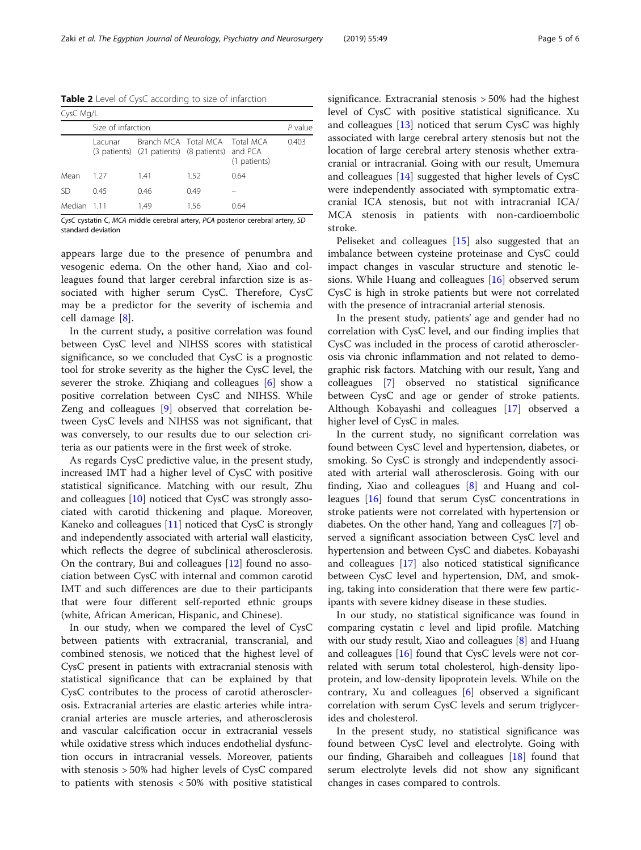<span id="page-4-0"></span>Table 2 Level of CysC according to size of infarction

| CysC Mg/L   |                    |                                                                                   |      |              |       |  |  |  |  |
|-------------|--------------------|-----------------------------------------------------------------------------------|------|--------------|-------|--|--|--|--|
|             | Size of infarction |                                                                                   |      |              |       |  |  |  |  |
|             | Lacunar            | Branch MCA Total MCA Total MCA<br>(3 patients) (21 patients) (8 patients) and PCA |      | (1 patients) | 0.403 |  |  |  |  |
| Mean        | 1 27               | 1.41                                                                              | 1.52 | 0.64         |       |  |  |  |  |
| .SD         | 0.45               | 0.46                                                                              | 0.49 |              |       |  |  |  |  |
| Median 1.11 |                    | 1.49                                                                              | 156  | 064          |       |  |  |  |  |

CysC cystatin C, MCA middle cerebral artery, PCA posterior cerebral artery, SD standard deviation

appears large due to the presence of penumbra and vesogenic edema. On the other hand, Xiao and colleagues found that larger cerebral infarction size is associated with higher serum CysC. Therefore, CysC may be a predictor for the severity of ischemia and cell damage [[8\]](#page-5-0).

In the current study, a positive correlation was found between CysC level and NIHSS scores with statistical significance, so we concluded that CysC is a prognostic tool for stroke severity as the higher the CysC level, the severer the stroke. Zhiqiang and colleagues [\[6](#page-5-0)] show a positive correlation between CysC and NIHSS. While Zeng and colleagues [\[9](#page-5-0)] observed that correlation between CysC levels and NIHSS was not significant, that was conversely, to our results due to our selection criteria as our patients were in the first week of stroke.

As regards CysC predictive value, in the present study, increased IMT had a higher level of CysC with positive statistical significance. Matching with our result, Zhu and colleagues [[10](#page-5-0)] noticed that CysC was strongly associated with carotid thickening and plaque. Moreover, Kaneko and colleagues [\[11\]](#page-5-0) noticed that CysC is strongly and independently associated with arterial wall elasticity, which reflects the degree of subclinical atherosclerosis. On the contrary, Bui and colleagues [\[12](#page-5-0)] found no association between CysC with internal and common carotid IMT and such differences are due to their participants that were four different self-reported ethnic groups (white, African American, Hispanic, and Chinese).

In our study, when we compared the level of CysC between patients with extracranial, transcranial, and combined stenosis, we noticed that the highest level of CysC present in patients with extracranial stenosis with statistical significance that can be explained by that CysC contributes to the process of carotid atherosclerosis. Extracranial arteries are elastic arteries while intracranial arteries are muscle arteries, and atherosclerosis and vascular calcification occur in extracranial vessels while oxidative stress which induces endothelial dysfunction occurs in intracranial vessels. Moreover, patients with stenosis > 50% had higher levels of CysC compared to patients with stenosis < 50% with positive statistical significance. Extracranial stenosis > 50% had the highest level of CysC with positive statistical significance. Xu and colleagues [[13](#page-5-0)] noticed that serum CysC was highly associated with large cerebral artery stenosis but not the location of large cerebral artery stenosis whether extracranial or intracranial. Going with our result, Umemura and colleagues [[14](#page-5-0)] suggested that higher levels of CysC were independently associated with symptomatic extracranial ICA stenosis, but not with intracranial ICA/ MCA stenosis in patients with non-cardioembolic stroke.

Peliseket and colleagues [[15\]](#page-5-0) also suggested that an imbalance between cysteine proteinase and CysC could impact changes in vascular structure and stenotic lesions. While Huang and colleagues [[16\]](#page-5-0) observed serum CysC is high in stroke patients but were not correlated with the presence of intracranial arterial stenosis.

In the present study, patients' age and gender had no correlation with CysC level, and our finding implies that CysC was included in the process of carotid atherosclerosis via chronic inflammation and not related to demographic risk factors. Matching with our result, Yang and colleagues [\[7](#page-5-0)] observed no statistical significance between CysC and age or gender of stroke patients. Although Kobayashi and colleagues [\[17](#page-5-0)] observed a higher level of CysC in males.

In the current study, no significant correlation was found between CysC level and hypertension, diabetes, or smoking. So CysC is strongly and independently associated with arterial wall atherosclerosis. Going with our finding, Xiao and colleagues [[8\]](#page-5-0) and Huang and colleagues [\[16\]](#page-5-0) found that serum CysC concentrations in stroke patients were not correlated with hypertension or diabetes. On the other hand, Yang and colleagues [[7\]](#page-5-0) observed a significant association between CysC level and hypertension and between CysC and diabetes. Kobayashi and colleagues [\[17](#page-5-0)] also noticed statistical significance between CysC level and hypertension, DM, and smoking, taking into consideration that there were few participants with severe kidney disease in these studies.

In our study, no statistical significance was found in comparing cystatin c level and lipid profile. Matching with our study result, Xiao and colleagues  $[8]$  $[8]$  and Huang and colleagues  $[16]$  $[16]$  found that CysC levels were not correlated with serum total cholesterol, high-density lipoprotein, and low-density lipoprotein levels. While on the contrary, Xu and colleagues [[6\]](#page-5-0) observed a significant correlation with serum CysC levels and serum triglycerides and cholesterol.

In the present study, no statistical significance was found between CysC level and electrolyte. Going with our finding, Gharaibeh and colleagues [\[18\]](#page-5-0) found that serum electrolyte levels did not show any significant changes in cases compared to controls.